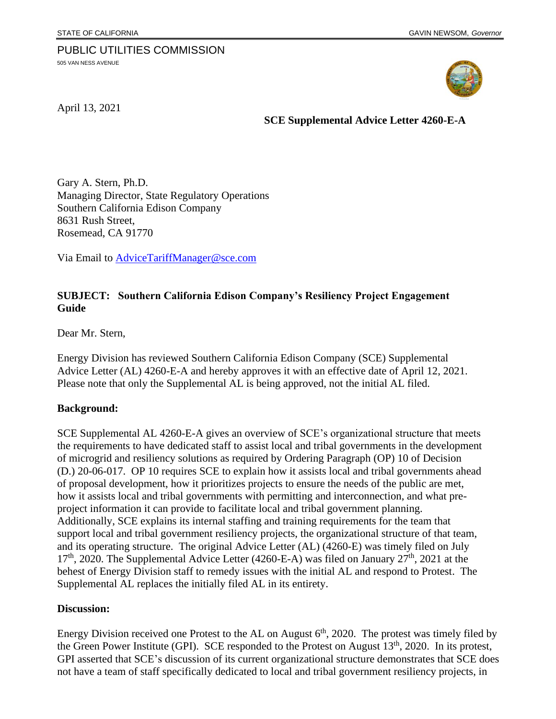# PUBLIC UTILITIES COMMISSION

505 VAN NESS AVENUE



April 13, 2021

 **SCE Supplemental Advice Letter 4260-E-A**

Gary A. Stern, Ph.D. Managing Director, State Regulatory Operations Southern California Edison Company 8631 Rush Street, Rosemead, CA 91770

Via Email to [AdviceTariffManager@sce.com](mailto:AdviceTariffManager@sce.com)

## **SUBJECT: Southern California Edison Company's Resiliency Project Engagement Guide**

Dear Mr. Stern,

Energy Division has reviewed Southern California Edison Company (SCE) Supplemental Advice Letter (AL) 4260-E-A and hereby approves it with an effective date of April 12, 2021. Please note that only the Supplemental AL is being approved, not the initial AL filed.

#### **Background:**

SCE Supplemental AL 4260-E-A gives an overview of SCE's organizational structure that meets the requirements to have dedicated staff to assist local and tribal governments in the development of microgrid and resiliency solutions as required by Ordering Paragraph (OP) 10 of Decision (D.) 20-06-017. OP 10 requires SCE to explain how it assists local and tribal governments ahead of proposal development, how it prioritizes projects to ensure the needs of the public are met, how it assists local and tribal governments with permitting and interconnection, and what preproject information it can provide to facilitate local and tribal government planning. Additionally, SCE explains its internal staffing and training requirements for the team that support local and tribal government resiliency projects, the organizational structure of that team, and its operating structure. The original Advice Letter (AL) (4260-E) was timely filed on July  $17<sup>th</sup>$ , 2020. The Supplemental Advice Letter (4260-E-A) was filed on January  $27<sup>th</sup>$ , 2021 at the behest of Energy Division staff to remedy issues with the initial AL and respond to Protest. The Supplemental AL replaces the initially filed AL in its entirety.

#### **Discussion:**

Energy Division received one Protest to the AL on August  $6<sup>th</sup>$ , 2020. The protest was timely filed by the Green Power Institute (GPI). SCE responded to the Protest on August 13<sup>th</sup>, 2020. In its protest, GPI asserted that SCE's discussion of its current organizational structure demonstrates that SCE does not have a team of staff specifically dedicated to local and tribal government resiliency projects, in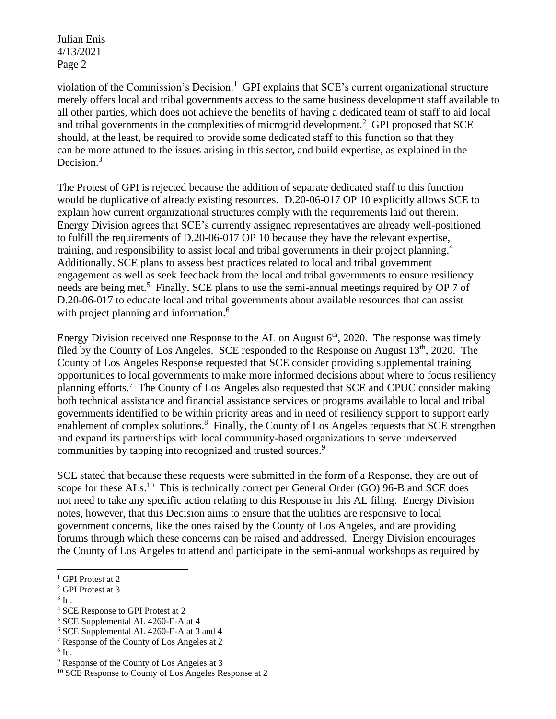Julian Enis 4/13/2021 Page 2

violation of the Commission's Decision.<sup>1</sup> GPI explains that SCE's current organizational structure merely offers local and tribal governments access to the same business development staff available to all other parties, which does not achieve the benefits of having a dedicated team of staff to aid local and tribal governments in the complexities of microgrid development.<sup>2</sup> GPI proposed that SCE should, at the least, be required to provide some dedicated staff to this function so that they can be more attuned to the issues arising in this sector, and build expertise, as explained in the Decision. $3$ 

The Protest of GPI is rejected because the addition of separate dedicated staff to this function would be duplicative of already existing resources. D.20-06-017 OP 10 explicitly allows SCE to explain how current organizational structures comply with the requirements laid out therein. Energy Division agrees that SCE's currently assigned representatives are already well-positioned to fulfill the requirements of D.20-06-017 OP 10 because they have the relevant expertise, training, and responsibility to assist local and tribal governments in their project planning.<sup>4</sup> Additionally, SCE plans to assess best practices related to local and tribal government engagement as well as seek feedback from the local and tribal governments to ensure resiliency needs are being met.<sup>5</sup> Finally, SCE plans to use the semi-annual meetings required by OP 7 of D.20-06-017 to educate local and tribal governments about available resources that can assist with project planning and information.<sup>6</sup>

Energy Division received one Response to the AL on August  $6<sup>th</sup>$ , 2020. The response was timely filed by the County of Los Angeles. SCE responded to the Response on August 13<sup>th</sup>, 2020. The County of Los Angeles Response requested that SCE consider providing supplemental training opportunities to local governments to make more informed decisions about where to focus resiliency planning efforts.<sup>7</sup> The County of Los Angeles also requested that SCE and CPUC consider making both technical assistance and financial assistance services or programs available to local and tribal governments identified to be within priority areas and in need of resiliency support to support early enablement of complex solutions.<sup>8</sup> Finally, the County of Los Angeles requests that SCE strengthen and expand its partnerships with local community-based organizations to serve underserved communities by tapping into recognized and trusted sources.<sup>9</sup>

SCE stated that because these requests were submitted in the form of a Response, they are out of scope for these ALs.<sup>10</sup> This is technically correct per General Order (GO) 96-B and SCE does not need to take any specific action relating to this Response in this AL filing. Energy Division notes, however, that this Decision aims to ensure that the utilities are responsive to local government concerns, like the ones raised by the County of Los Angeles, and are providing forums through which these concerns can be raised and addressed. Energy Division encourages the County of Los Angeles to attend and participate in the semi-annual workshops as required by

<sup>&</sup>lt;sup>1</sup> GPI Protest at 2

<sup>2</sup> GPI Protest at 3

<sup>3</sup> Id.

<sup>4</sup> SCE Response to GPI Protest at 2

<sup>5</sup> SCE Supplemental AL 4260-E-A at 4

<sup>6</sup> SCE Supplemental AL 4260-E-A at 3 and 4

<sup>7</sup> Response of the County of Los Angeles at 2

<sup>8</sup> Id.

<sup>9</sup> Response of the County of Los Angeles at 3

<sup>&</sup>lt;sup>10</sup> SCE Response to County of Los Angeles Response at 2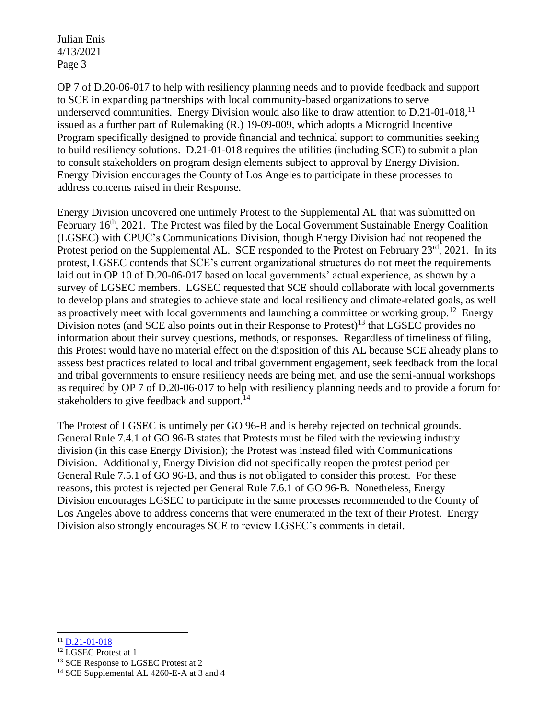Julian Enis 4/13/2021 Page 3

OP 7 of D.20-06-017 to help with resiliency planning needs and to provide feedback and support to SCE in expanding partnerships with local community-based organizations to serve underserved communities. Energy Division would also like to draw attention to  $D.21$ -01-018,<sup>11</sup> issued as a further part of Rulemaking (R.) 19-09-009, which adopts a Microgrid Incentive Program specifically designed to provide financial and technical support to communities seeking to build resiliency solutions. D.21-01-018 requires the utilities (including SCE) to submit a plan to consult stakeholders on program design elements subject to approval by Energy Division. Energy Division encourages the County of Los Angeles to participate in these processes to address concerns raised in their Response.

Energy Division uncovered one untimely Protest to the Supplemental AL that was submitted on February 16<sup>th</sup>, 2021. The Protest was filed by the Local Government Sustainable Energy Coalition (LGSEC) with CPUC's Communications Division, though Energy Division had not reopened the Protest period on the Supplemental AL. SCE responded to the Protest on February 23<sup>rd</sup>, 2021. In its protest, LGSEC contends that SCE's current organizational structures do not meet the requirements laid out in OP 10 of D.20-06-017 based on local governments' actual experience, as shown by a survey of LGSEC members. LGSEC requested that SCE should collaborate with local governments to develop plans and strategies to achieve state and local resiliency and climate-related goals, as well as proactively meet with local governments and launching a committee or working group.<sup>12</sup> Energy Division notes (and SCE also points out in their Response to Protest)<sup>13</sup> that LGSEC provides no information about their survey questions, methods, or responses. Regardless of timeliness of filing, this Protest would have no material effect on the disposition of this AL because SCE already plans to assess best practices related to local and tribal government engagement, seek feedback from the local and tribal governments to ensure resiliency needs are being met, and use the semi-annual workshops as required by OP 7 of D.20-06-017 to help with resiliency planning needs and to provide a forum for stakeholders to give feedback and support.<sup>14</sup>

The Protest of LGSEC is untimely per GO 96-B and is hereby rejected on technical grounds. General Rule 7.4.1 of GO 96-B states that Protests must be filed with the reviewing industry division (in this case Energy Division); the Protest was instead filed with Communications Division. Additionally, Energy Division did not specifically reopen the protest period per General Rule 7.5.1 of GO 96-B, and thus is not obligated to consider this protest. For these reasons, this protest is rejected per General Rule 7.6.1 of GO 96-B. Nonetheless, Energy Division encourages LGSEC to participate in the same processes recommended to the County of Los Angeles above to address concerns that were enumerated in the text of their Protest. Energy Division also strongly encourages SCE to review LGSEC's comments in detail.

 $11$  [D.21-01-018](https://docs.cpuc.ca.gov/PublishedDocs/Published/G000/M361/K442/361442167.PDF)

<sup>12</sup> LGSEC Protest at 1

<sup>&</sup>lt;sup>13</sup> SCE Response to LGSEC Protest at 2

<sup>&</sup>lt;sup>14</sup> SCE Supplemental AL 4260-E-A at 3 and 4